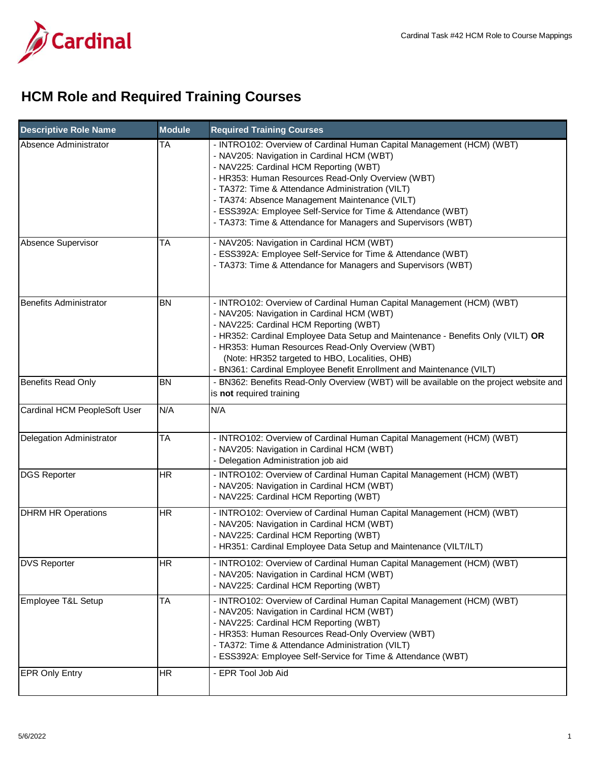

## **HCM Role and Required Training Courses**

| <b>Descriptive Role Name</b>  | <b>Module</b> | <b>Required Training Courses</b>                                                                                                                                                                                                                                                                                                                                                                                                                          |
|-------------------------------|---------------|-----------------------------------------------------------------------------------------------------------------------------------------------------------------------------------------------------------------------------------------------------------------------------------------------------------------------------------------------------------------------------------------------------------------------------------------------------------|
| Absence Administrator         | <b>TA</b>     | - INTRO102: Overview of Cardinal Human Capital Management (HCM) (WBT)<br>- NAV205: Navigation in Cardinal HCM (WBT)<br>- NAV225: Cardinal HCM Reporting (WBT)<br>- HR353: Human Resources Read-Only Overview (WBT)<br>- TA372: Time & Attendance Administration (VILT)<br>- TA374: Absence Management Maintenance (VILT)<br>- ESS392A: Employee Self-Service for Time & Attendance (WBT)<br>- TA373: Time & Attendance for Managers and Supervisors (WBT) |
| Absence Supervisor            | <b>TA</b>     | - NAV205: Navigation in Cardinal HCM (WBT)<br>- ESS392A: Employee Self-Service for Time & Attendance (WBT)<br>- TA373: Time & Attendance for Managers and Supervisors (WBT)                                                                                                                                                                                                                                                                               |
| <b>Benefits Administrator</b> | <b>BN</b>     | - INTRO102: Overview of Cardinal Human Capital Management (HCM) (WBT)<br>- NAV205: Navigation in Cardinal HCM (WBT)<br>- NAV225: Cardinal HCM Reporting (WBT)<br>- HR352: Cardinal Employee Data Setup and Maintenance - Benefits Only (VILT) OR<br>- HR353: Human Resources Read-Only Overview (WBT)<br>(Note: HR352 targeted to HBO, Localities, OHB)<br>- BN361: Cardinal Employee Benefit Enrollment and Maintenance (VILT)                           |
| <b>Benefits Read Only</b>     | <b>BN</b>     | - BN362: Benefits Read-Only Overview (WBT) will be available on the project website and<br>is not required training                                                                                                                                                                                                                                                                                                                                       |
| Cardinal HCM PeopleSoft User  | N/A           | N/A                                                                                                                                                                                                                                                                                                                                                                                                                                                       |
| Delegation Administrator      | <b>TA</b>     | - INTRO102: Overview of Cardinal Human Capital Management (HCM) (WBT)<br>- NAV205: Navigation in Cardinal HCM (WBT)<br>- Delegation Administration job aid                                                                                                                                                                                                                                                                                                |
| <b>DGS Reporter</b>           | <b>HR</b>     | - INTRO102: Overview of Cardinal Human Capital Management (HCM) (WBT)<br>- NAV205: Navigation in Cardinal HCM (WBT)<br>- NAV225: Cardinal HCM Reporting (WBT)                                                                                                                                                                                                                                                                                             |
| <b>DHRM HR Operations</b>     | <b>HR</b>     | - INTRO102: Overview of Cardinal Human Capital Management (HCM) (WBT)<br>- NAV205: Navigation in Cardinal HCM (WBT)<br>- NAV225: Cardinal HCM Reporting (WBT)<br>- HR351: Cardinal Employee Data Setup and Maintenance (VILT/ILT)                                                                                                                                                                                                                         |
| <b>DVS Reporter</b>           | HR            | - INTRO102: Overview of Cardinal Human Capital Management (HCM) (WBT)<br>- NAV205: Navigation in Cardinal HCM (WBT)<br>- NAV225: Cardinal HCM Reporting (WBT)                                                                                                                                                                                                                                                                                             |
| Employee T&L Setup            | <b>TA</b>     | - INTRO102: Overview of Cardinal Human Capital Management (HCM) (WBT)<br>- NAV205: Navigation in Cardinal HCM (WBT)<br>- NAV225: Cardinal HCM Reporting (WBT)<br>- HR353: Human Resources Read-Only Overview (WBT)<br>- TA372: Time & Attendance Administration (VILT)<br>- ESS392A: Employee Self-Service for Time & Attendance (WBT)                                                                                                                    |
| <b>EPR Only Entry</b>         | <b>HR</b>     | - EPR Tool Job Aid                                                                                                                                                                                                                                                                                                                                                                                                                                        |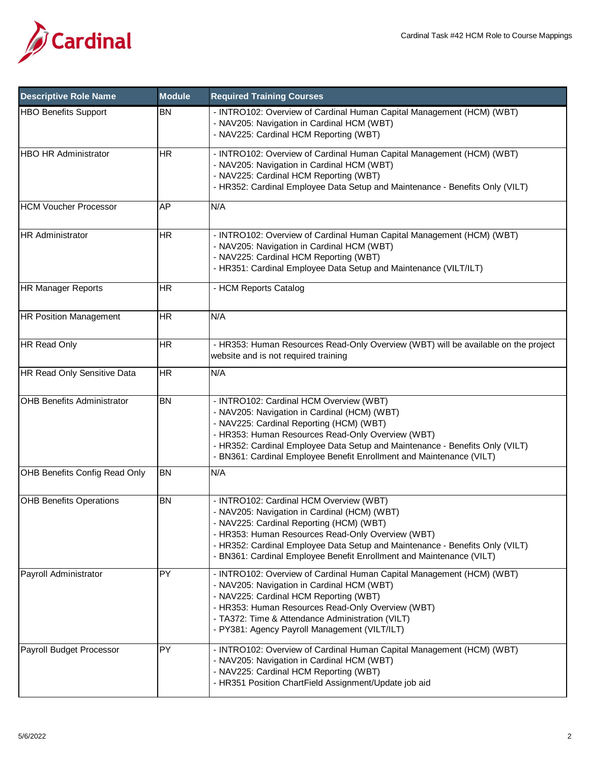

| <b>Descriptive Role Name</b>      | <b>Module</b> | <b>Required Training Courses</b>                                                                                                                                                                                                                                                                                                                 |
|-----------------------------------|---------------|--------------------------------------------------------------------------------------------------------------------------------------------------------------------------------------------------------------------------------------------------------------------------------------------------------------------------------------------------|
| <b>HBO Benefits Support</b>       | <b>BN</b>     | - INTRO102: Overview of Cardinal Human Capital Management (HCM) (WBT)<br>- NAV205: Navigation in Cardinal HCM (WBT)<br>- NAV225: Cardinal HCM Reporting (WBT)                                                                                                                                                                                    |
| <b>HBO HR Administrator</b>       | <b>HR</b>     | - INTRO102: Overview of Cardinal Human Capital Management (HCM) (WBT)<br>- NAV205: Navigation in Cardinal HCM (WBT)<br>- NAV225: Cardinal HCM Reporting (WBT)<br>- HR352: Cardinal Employee Data Setup and Maintenance - Benefits Only (VILT)                                                                                                    |
| <b>HCM Voucher Processor</b>      | AP            | N/A                                                                                                                                                                                                                                                                                                                                              |
| <b>HR Administrator</b>           | <b>HR</b>     | - INTRO102: Overview of Cardinal Human Capital Management (HCM) (WBT)<br>- NAV205: Navigation in Cardinal HCM (WBT)<br>- NAV225: Cardinal HCM Reporting (WBT)<br>- HR351: Cardinal Employee Data Setup and Maintenance (VILT/ILT)                                                                                                                |
| <b>HR Manager Reports</b>         | <b>HR</b>     | - HCM Reports Catalog                                                                                                                                                                                                                                                                                                                            |
| <b>HR Position Management</b>     | <b>HR</b>     | N/A                                                                                                                                                                                                                                                                                                                                              |
| HR Read Only                      | <b>HR</b>     | - HR353: Human Resources Read-Only Overview (WBT) will be available on the project<br>website and is not required training                                                                                                                                                                                                                       |
| HR Read Only Sensitive Data       | <b>HR</b>     | N/A                                                                                                                                                                                                                                                                                                                                              |
| <b>OHB Benefits Administrator</b> | <b>BN</b>     | - INTRO102: Cardinal HCM Overview (WBT)<br>- NAV205: Navigation in Cardinal (HCM) (WBT)<br>- NAV225: Cardinal Reporting (HCM) (WBT)<br>- HR353: Human Resources Read-Only Overview (WBT)<br>- HR352: Cardinal Employee Data Setup and Maintenance - Benefits Only (VILT)<br>- BN361: Cardinal Employee Benefit Enrollment and Maintenance (VILT) |
| OHB Benefits Config Read Only     | <b>BN</b>     | $\overline{N}/A$                                                                                                                                                                                                                                                                                                                                 |
| <b>OHB Benefits Operations</b>    | <b>BN</b>     | - INTRO102: Cardinal HCM Overview (WBT)<br>- NAV205: Navigation in Cardinal (HCM) (WBT)<br>- NAV225: Cardinal Reporting (HCM) (WBT)<br>- HR353: Human Resources Read-Only Overview (WBT)<br>- HR352: Cardinal Employee Data Setup and Maintenance - Benefits Only (VILT)<br>- BN361: Cardinal Employee Benefit Enrollment and Maintenance (VILT) |
| Payroll Administrator             | PY            | - INTRO102: Overview of Cardinal Human Capital Management (HCM) (WBT)<br>- NAV205: Navigation in Cardinal HCM (WBT)<br>- NAV225: Cardinal HCM Reporting (WBT)<br>- HR353: Human Resources Read-Only Overview (WBT)<br>- TA372: Time & Attendance Administration (VILT)<br>- PY381: Agency Payroll Management (VILT/ILT)                          |
| Payroll Budget Processor          | PY            | - INTRO102: Overview of Cardinal Human Capital Management (HCM) (WBT)<br>- NAV205: Navigation in Cardinal HCM (WBT)<br>- NAV225: Cardinal HCM Reporting (WBT)<br>- HR351 Position ChartField Assignment/Update job aid                                                                                                                           |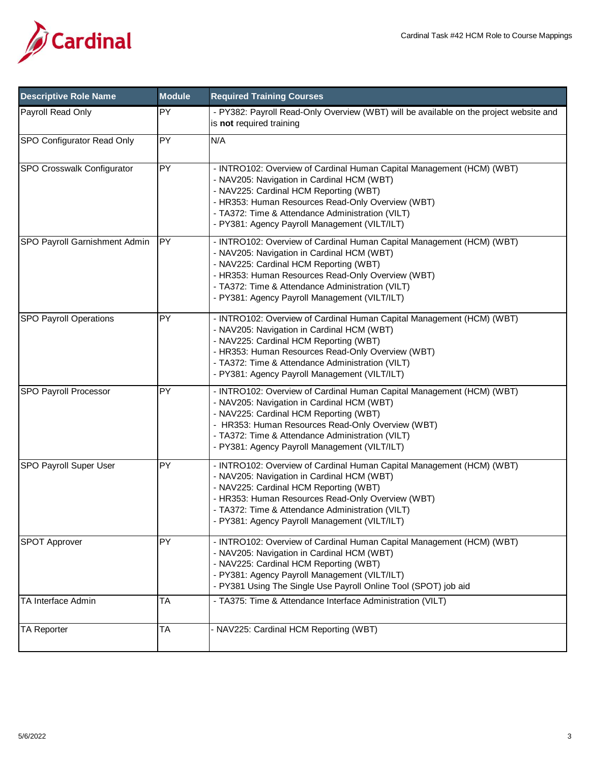

| <b>Descriptive Role Name</b>  | <b>Module</b> | <b>Required Training Courses</b>                                                                                                                                                                                                                                                                                        |
|-------------------------------|---------------|-------------------------------------------------------------------------------------------------------------------------------------------------------------------------------------------------------------------------------------------------------------------------------------------------------------------------|
| Payroll Read Only             | <b>PY</b>     | - PY382: Payroll Read-Only Overview (WBT) will be available on the project website and<br>is not required training                                                                                                                                                                                                      |
| SPO Configurator Read Only    | PY            | N/A                                                                                                                                                                                                                                                                                                                     |
| SPO Crosswalk Configurator    | PY            | - INTRO102: Overview of Cardinal Human Capital Management (HCM) (WBT)<br>- NAV205: Navigation in Cardinal HCM (WBT)<br>- NAV225: Cardinal HCM Reporting (WBT)<br>- HR353: Human Resources Read-Only Overview (WBT)<br>- TA372: Time & Attendance Administration (VILT)<br>- PY381: Agency Payroll Management (VILT/ILT) |
| SPO Payroll Garnishment Admin | <b>PY</b>     | - INTRO102: Overview of Cardinal Human Capital Management (HCM) (WBT)<br>- NAV205: Navigation in Cardinal HCM (WBT)<br>- NAV225: Cardinal HCM Reporting (WBT)<br>- HR353: Human Resources Read-Only Overview (WBT)<br>- TA372: Time & Attendance Administration (VILT)<br>- PY381: Agency Payroll Management (VILT/ILT) |
| <b>SPO Payroll Operations</b> | PY            | - INTRO102: Overview of Cardinal Human Capital Management (HCM) (WBT)<br>- NAV205: Navigation in Cardinal HCM (WBT)<br>- NAV225: Cardinal HCM Reporting (WBT)<br>- HR353: Human Resources Read-Only Overview (WBT)<br>- TA372: Time & Attendance Administration (VILT)<br>- PY381: Agency Payroll Management (VILT/ILT) |
| SPO Payroll Processor         | PY            | - INTRO102: Overview of Cardinal Human Capital Management (HCM) (WBT)<br>- NAV205: Navigation in Cardinal HCM (WBT)<br>- NAV225: Cardinal HCM Reporting (WBT)<br>- HR353: Human Resources Read-Only Overview (WBT)<br>- TA372: Time & Attendance Administration (VILT)<br>- PY381: Agency Payroll Management (VILT/ILT) |
| SPO Payroll Super User        | PY            | - INTRO102: Overview of Cardinal Human Capital Management (HCM) (WBT)<br>- NAV205: Navigation in Cardinal HCM (WBT)<br>- NAV225: Cardinal HCM Reporting (WBT)<br>- HR353: Human Resources Read-Only Overview (WBT)<br>- TA372: Time & Attendance Administration (VILT)<br>PY381: Agency Payroll Management (VILT/ILT)   |
| <b>SPOT Approver</b>          | PY            | - INTRO102: Overview of Cardinal Human Capital Management (HCM) (WBT)<br>- NAV205: Navigation in Cardinal HCM (WBT)<br>- NAV225: Cardinal HCM Reporting (WBT)<br>- PY381: Agency Payroll Management (VILT/ILT)<br>- PY381 Using The Single Use Payroll Online Tool (SPOT) job aid                                       |
| TA Interface Admin            | <b>TA</b>     | - TA375: Time & Attendance Interface Administration (VILT)                                                                                                                                                                                                                                                              |
| <b>TA Reporter</b>            | <b>TA</b>     | - NAV225: Cardinal HCM Reporting (WBT)                                                                                                                                                                                                                                                                                  |